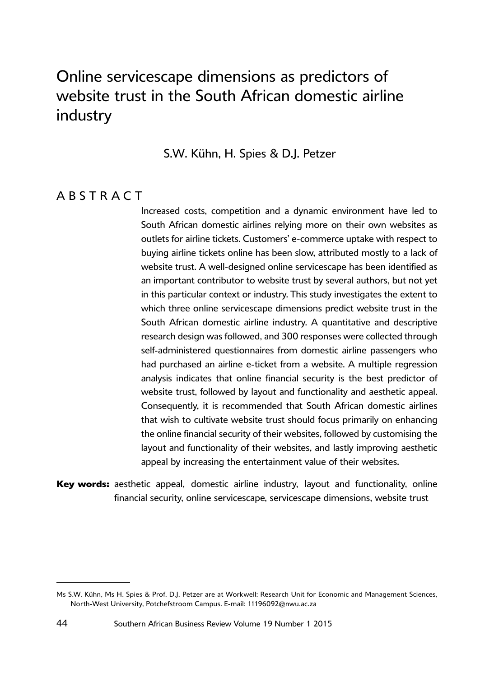# Online servicescape dimensions as predictors of website trust in the South African domestic airline industry

S.W. Kühn, H. Spies & D.J. Petzer

#### **ABSTRACT**

Increased costs, competition and a dynamic environment have led to South African domestic airlines relying more on their own websites as outlets for airline tickets. Customers' e-commerce uptake with respect to buying airline tickets online has been slow, attributed mostly to a lack of website trust. A well-designed online servicescape has been identified as an important contributor to website trust by several authors, but not yet in this particular context or industry. This study investigates the extent to which three online servicescape dimensions predict website trust in the South African domestic airline industry. A quantitative and descriptive research design was followed, and 300 responses were collected through self-administered questionnaires from domestic airline passengers who had purchased an airline e-ticket from a website. A multiple regression analysis indicates that online financial security is the best predictor of website trust, followed by layout and functionality and aesthetic appeal. Consequently, it is recommended that South African domestic airlines that wish to cultivate website trust should focus primarily on enhancing the online financial security of their websites, followed by customising the layout and functionality of their websites, and lastly improving aesthetic appeal by increasing the entertainment value of their websites.

**Key words:** aesthetic appeal, domestic airline industry, layout and functionality, online financial security, online servicescape, servicescape dimensions, website trust

Ms S.W. Kühn, Ms H. Spies & Prof. D.J. Petzer are at Workwell: Research Unit for Economic and Management Sciences, North-West University, Potchefstroom Campus. E-mail: 11196092@nwu.ac.za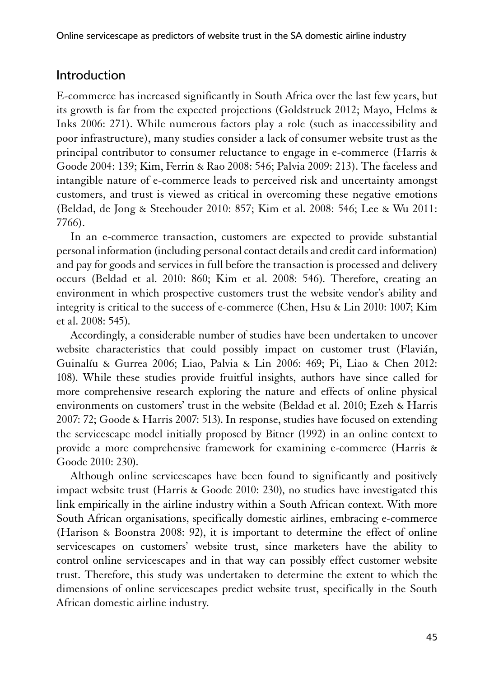# Introduction

1E-commerce has increased significantly in South Africa over the last few years, but its growth is far from the expected projections (Goldstruck 2012; Mayo, Helms & Inks 2006: 271). While numerous factors play a role (such as inaccessibility and poor infrastructure), many studies consider a lack of consumer website trust as the principal contributor to consumer reluctance to engage in e-commerce (Harris & Goode 2004: 139; Kim, Ferrin & Rao 2008: 546; Palvia 2009: 213). The faceless and intangible nature of e-commerce leads to perceived risk and uncertainty amongst customers, and trust is viewed as critical in overcoming these negative emotions (Beldad, de Jong & Steehouder 2010: 857; Kim et al. 2008: 546; Lee & Wu 2011: 7766).

In an e-commerce transaction, customers are expected to provide substantial personal information (including personal contact details and credit card information) and pay for goods and services in full before the transaction is processed and delivery occurs (Beldad et al. 2010: 860; Kim et al. 2008: 546). Therefore, creating an environment in which prospective customers trust the website vendor's ability and integrity is critical to the success of e-commerce (Chen, Hsu & Lin 2010: 1007; Kim et al. 2008: 545).

Accordingly, a considerable number of studies have been undertaken to uncover website characteristics that could possibly impact on customer trust (Flavián, Guinalíu & Gurrea 2006; Liao, Palvia & Lin 2006: 469; Pi, Liao & Chen 2012: 108). While these studies provide fruitful insights, authors have since called for more comprehensive research exploring the nature and effects of online physical environments on customers' trust in the website (Beldad et al. 2010; Ezeh & Harris 2007: 72; Goode & Harris 2007: 513). In response, studies have focused on extending the servicescape model initially proposed by Bitner (1992) in an online context to provide a more comprehensive framework for examining e-commerce (Harris & Goode 2010: 230).

Although online servicescapes have been found to significantly and positively impact website trust (Harris & Goode 2010: 230), no studies have investigated this link empirically in the airline industry within a South African context. With more South African organisations, specifically domestic airlines, embracing e-commerce (Harison & Boonstra 2008: 92), it is important to determine the effect of online servicescapes on customers' website trust, since marketers have the ability to control online servicescapes and in that way can possibly effect customer website trust. Therefore, this study was undertaken to determine the extent to which the dimensions of online servicescapes predict website trust, specifically in the South African domestic airline industry.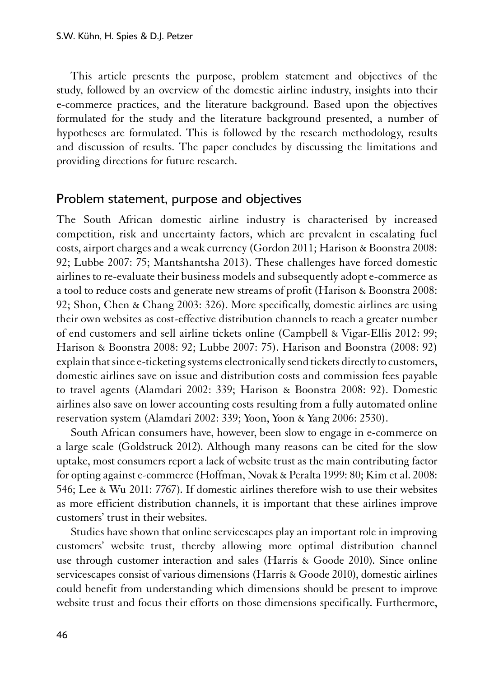This article presents the purpose, problem statement and objectives of the study, followed by an overview of the domestic airline industry, insights into their e-commerce practices, and the literature background. Based upon the objectives formulated for the study and the literature background presented, a number of hypotheses are formulated. This is followed by the research methodology, results and discussion of results. The paper concludes by discussing the limitations and providing directions for future research.

#### Problem statement, purpose and objectives

The South African domestic airline industry is characterised by increased competition, risk and uncertainty factors, which are prevalent in escalating fuel costs, airport charges and a weak currency (Gordon 2011; Harison & Boonstra 2008: 92; Lubbe 2007: 75; Mantshantsha 2013). These challenges have forced domestic airlines to re-evaluate their business models and subsequently adopt e-commerce as a tool to reduce costs and generate new streams of profit (Harison & Boonstra 2008: 92; Shon, Chen & Chang 2003: 326). More specifically, domestic airlines are using their own websites as cost-effective distribution channels to reach a greater number of end customers and sell airline tickets online (Campbell & Vigar-Ellis 2012: 99; Harison & Boonstra 2008: 92; Lubbe 2007: 75). Harison and Boonstra (2008: 92) explain that since e-ticketing systems electronically send tickets directly to customers, domestic airlines save on issue and distribution costs and commission fees payable to travel agents (Alamdari 2002: 339; Harison & Boonstra 2008: 92). Domestic airlines also save on lower accounting costs resulting from a fully automated online reservation system (Alamdari 2002: 339; Yoon, Yoon & Yang 2006: 2530).

South African consumers have, however, been slow to engage in e-commerce on a large scale (Goldstruck 2012). Although many reasons can be cited for the slow uptake, most consumers report a lack of website trust as the main contributing factor for opting against e-commerce (Hoffman, Novak & Peralta 1999: 80; Kim et al. 2008: 546; Lee & Wu 2011: 7767). If domestic airlines therefore wish to use their websites as more efficient distribution channels, it is important that these airlines improve customers' trust in their websites.

Studies have shown that online servicescapes play an important role in improving customers' website trust, thereby allowing more optimal distribution channel use through customer interaction and sales (Harris & Goode 2010). Since online servicescapes consist of various dimensions (Harris & Goode 2010), domestic airlines could benefit from understanding which dimensions should be present to improve website trust and focus their efforts on those dimensions specifically. Furthermore,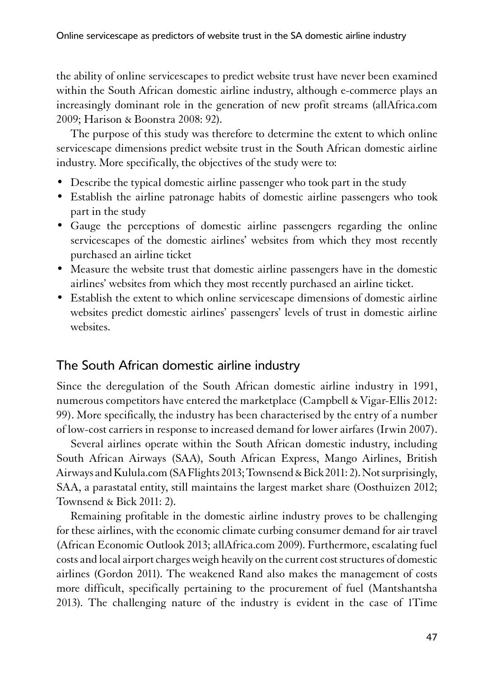the ability of online servicescapes to predict website trust have never been examined within the South African domestic airline industry, although e-commerce plays an increasingly dominant role in the generation of new profit streams (allAfrica.com 2009; Harison & Boonstra 2008: 92).

The purpose of this study was therefore to determine the extent to which online servicescape dimensions predict website trust in the South African domestic airline industry. More specifically, the objectives of the study were to:

- Describe the typical domestic airline passenger who took part in the study
- Establish the airline patronage habits of domestic airline passengers who took part in the study
- Gauge the perceptions of domestic airline passengers regarding the online servicescapes of the domestic airlines' websites from which they most recently purchased an airline ticket
- Measure the website trust that domestic airline passengers have in the domestic airlines' websites from which they most recently purchased an airline ticket.
- • Establish the extent to which online servicescape dimensions of domestic airline websites predict domestic airlines' passengers' levels of trust in domestic airline websites.

# The South African domestic airline industry

1Since the deregulation of the South African domestic airline industry in 1991, numerous competitors have entered the marketplace (Campbell & Vigar-Ellis 2012: 99). More specifically, the industry has been characterised by the entry of a number of low-cost carriers in response to increased demand for lower airfares (Irwin 2007).

Several airlines operate within the South African domestic industry, including South African Airways (SAA), South African Express, Mango Airlines, British Airways and Kulula.com (SA Flights 2013; Townsend & Bick 2011: 2). Not surprisingly, SAA, a parastatal entity, still maintains the largest market share (Oosthuizen 2012; Townsend & Bick 2011: 2).

Remaining profitable in the domestic airline industry proves to be challenging for these airlines, with the economic climate curbing consumer demand for air travel (African Economic Outlook 2013; allAfrica.com 2009). Furthermore, escalating fuel costs and local airport charges weigh heavily on the current cost structures of domestic airlines (Gordon 2011). The weakened Rand also makes the management of costs more difficult, specifically pertaining to the procurement of fuel (Mantshantsha 2013). The challenging nature of the industry is evident in the case of 1Time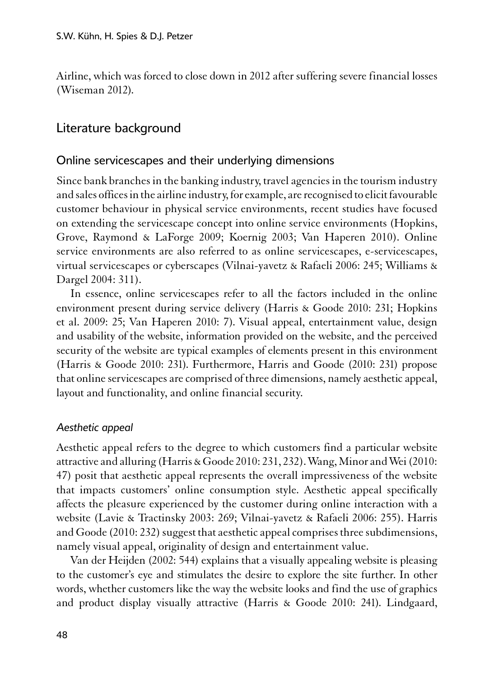Airline, which was forced to close down in 2012 after suffering severe financial losses (Wiseman 2012).

# Literature background

#### Online servicescapes and their underlying dimensions

1Since bank branches in the banking industry, travel agencies in the tourism industry and sales offices in the airline industry, for example, are recognised to elicit favourable customer behaviour in physical service environments, recent studies have focused on extending the servicescape concept into online service environments (Hopkins, Grove, Raymond & LaForge 2009; Koernig 2003; Van Haperen 2010). Online service environments are also referred to as online servicescapes, e-servicescapes, virtual servicescapes or cyberscapes (Vilnai-yavetz & Rafaeli 2006: 245; Williams & Dargel 2004: 311).

In essence, online servicescapes refer to all the factors included in the online environment present during service delivery (Harris & Goode 2010: 231; Hopkins et al. 2009: 25; Van Haperen 2010: 7). Visual appeal, entertainment value, design and usability of the website, information provided on the website, and the perceived security of the website are typical examples of elements present in this environment (Harris & Goode 2010: 231). Furthermore, Harris and Goode (2010: 231) propose that online servicescapes are comprised of three dimensions, namely aesthetic appeal, layout and functionality, and online financial security.

#### *Aesthetic appeal*

1Aesthetic appeal refers to the degree to which customers find a particular website attractive and alluring (Harris & Goode 2010: 231, 232). Wang, Minor and Wei (2010: 47) posit that aesthetic appeal represents the overall impressiveness of the website that impacts customers' online consumption style. Aesthetic appeal specifically affects the pleasure experienced by the customer during online interaction with a website (Lavie & Tractinsky 2003: 269; Vilnai-yavetz & Rafaeli 2006: 255). Harris and Goode (2010: 232) suggest that aesthetic appeal comprises three subdimensions, namely visual appeal, originality of design and entertainment value.

Van der Heijden (2002: 544) explains that a visually appealing website is pleasing to the customer's eye and stimulates the desire to explore the site further. In other words, whether customers like the way the website looks and find the use of graphics and product display visually attractive (Harris & Goode 2010: 241). Lindgaard,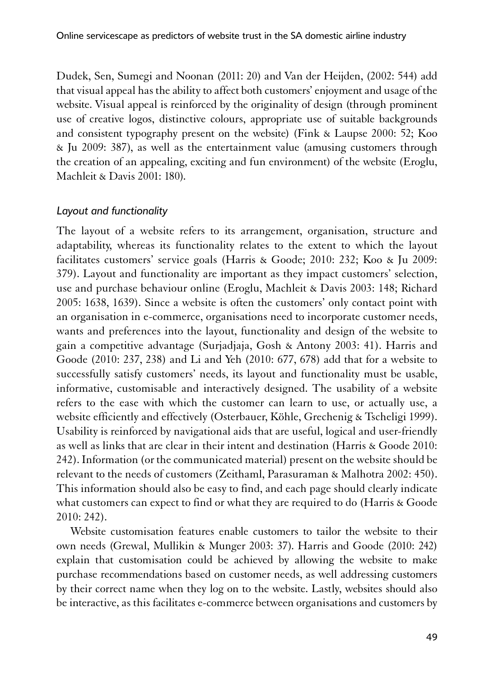Dudek, Sen, Sumegi and Noonan (2011: 20) and Van der Heijden, (2002: 544) add that visual appeal has the ability to affect both customers' enjoyment and usage of the website. Visual appeal is reinforced by the originality of design (through prominent use of creative logos, distinctive colours, appropriate use of suitable backgrounds and consistent typography present on the website) (Fink & Laupse 2000: 52; Koo & Ju 2009: 387), as well as the entertainment value (amusing customers through the creation of an appealing, exciting and fun environment) of the website (Eroglu, Machleit & Davis 2001: 180).

#### *Layout and functionality*

The layout of a website refers to its arrangement, organisation, structure and adaptability, whereas its functionality relates to the extent to which the layout facilitates customers' service goals (Harris & Goode; 2010: 232; Koo & Ju 2009: 379). Layout and functionality are important as they impact customers' selection, use and purchase behaviour online (Eroglu, Machleit & Davis 2003: 148; Richard 2005: 1638, 1639). Since a website is often the customers' only contact point with an organisation in e-commerce, organisations need to incorporate customer needs, wants and preferences into the layout, functionality and design of the website to gain a competitive advantage (Surjadjaja, Gosh & Antony 2003: 41). Harris and Goode (2010: 237, 238) and Li and Yeh (2010: 677, 678) add that for a website to successfully satisfy customers' needs, its layout and functionality must be usable, informative, customisable and interactively designed. The usability of a website refers to the ease with which the customer can learn to use, or actually use, a website efficiently and effectively (Osterbauer, Köhle, Grechenig & Tscheligi 1999). Usability is reinforced by navigational aids that are useful, logical and user-friendly as well as links that are clear in their intent and destination (Harris & Goode 2010: 242). Information (or the communicated material) present on the website should be relevant to the needs of customers (Zeithaml, Parasuraman & Malhotra 2002: 450). This information should also be easy to find, and each page should clearly indicate what customers can expect to find or what they are required to do (Harris & Goode 2010: 242).

Website customisation features enable customers to tailor the website to their own needs (Grewal, Mullikin & Munger 2003: 37). Harris and Goode (2010: 242) explain that customisation could be achieved by allowing the website to make purchase recommendations based on customer needs, as well addressing customers by their correct name when they log on to the website. Lastly, websites should also be interactive, as this facilitates e-commerce between organisations and customers by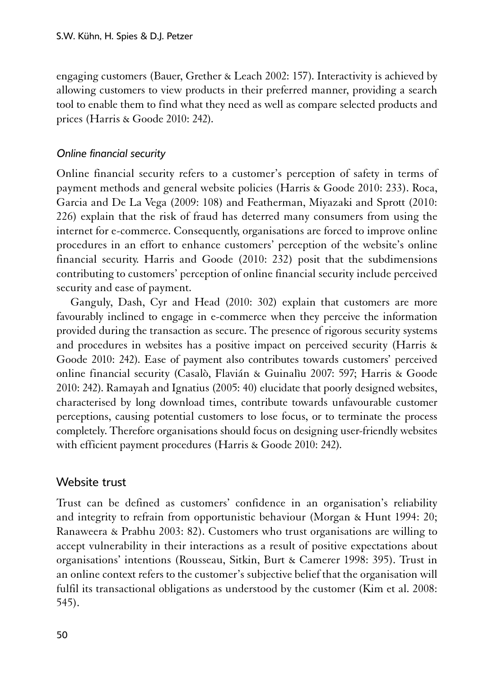engaging customers (Bauer, Grether & Leach 2002: 157). Interactivity is achieved by allowing customers to view products in their preferred manner, providing a search tool to enable them to find what they need as well as compare selected products and prices (Harris & Goode 2010: 242).

#### *Online financial security*

1Online financial security refers to a customer's perception of safety in terms of payment methods and general website policies (Harris & Goode 2010: 233). Roca, Garcia and De La Vega (2009: 108) and Featherman, Miyazaki and Sprott (2010: 226) explain that the risk of fraud has deterred many consumers from using the internet for e-commerce. Consequently, organisations are forced to improve online procedures in an effort to enhance customers' perception of the website's online financial security. Harris and Goode (2010: 232) posit that the subdimensions contributing to customers' perception of online financial security include perceived security and ease of payment.

Ganguly, Dash, Cyr and Head (2010: 302) explain that customers are more favourably inclined to engage in e-commerce when they perceive the information provided during the transaction as secure. The presence of rigorous security systems and procedures in websites has a positive impact on perceived security (Harris & Goode 2010: 242). Ease of payment also contributes towards customers' perceived online financial security (Casalò, Flavián & Guinalìu 2007: 597; Harris & Goode 2010: 242). Ramayah and Ignatius (2005: 40) elucidate that poorly designed websites, characterised by long download times, contribute towards unfavourable customer perceptions, causing potential customers to lose focus, or to terminate the process completely. Therefore organisations should focus on designing user-friendly websites with efficient payment procedures (Harris & Goode 2010: 242).

#### Website trust

1Trust can be defined as customers' confidence in an organisation's reliability and integrity to refrain from opportunistic behaviour (Morgan & Hunt 1994: 20; Ranaweera & Prabhu 2003: 82). Customers who trust organisations are willing to accept vulnerability in their interactions as a result of positive expectations about organisations' intentions (Rousseau, Sitkin, Burt & Camerer 1998: 395). Trust in an online context refers to the customer's subjective belief that the organisation will fulfil its transactional obligations as understood by the customer (Kim et al. 2008: 545).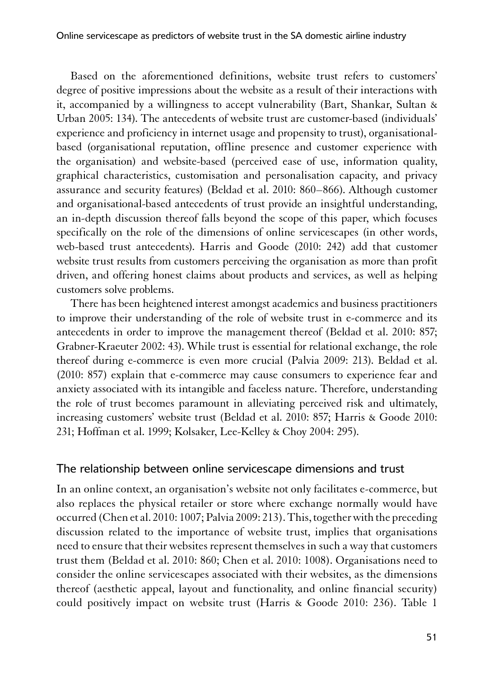Based on the aforementioned definitions, website trust refers to customers' degree of positive impressions about the website as a result of their interactions with it, accompanied by a willingness to accept vulnerability (Bart, Shankar, Sultan & Urban 2005: 134). The antecedents of website trust are customer-based (individuals' experience and proficiency in internet usage and propensity to trust), organisationalbased (organisational reputation, offline presence and customer experience with the organisation) and website-based (perceived ease of use, information quality, graphical characteristics, customisation and personalisation capacity, and privacy assurance and security features) (Beldad et al. 2010: 860–866). Although customer and organisational-based antecedents of trust provide an insightful understanding, an in-depth discussion thereof falls beyond the scope of this paper, which focuses specifically on the role of the dimensions of online servicescapes (in other words, web-based trust antecedents). Harris and Goode (2010: 242) add that customer website trust results from customers perceiving the organisation as more than profit driven, and offering honest claims about products and services, as well as helping customers solve problems.

There has been heightened interest amongst academics and business practitioners to improve their understanding of the role of website trust in e-commerce and its antecedents in order to improve the management thereof (Beldad et al. 2010: 857; Grabner-Kraeuter 2002: 43). While trust is essential for relational exchange, the role thereof during e-commerce is even more crucial (Palvia 2009: 213). Beldad et al. (2010: 857) explain that e-commerce may cause consumers to experience fear and anxiety associated with its intangible and faceless nature. Therefore, understanding the role of trust becomes paramount in alleviating perceived risk and ultimately, increasing customers' website trust (Beldad et al. 2010: 857; Harris & Goode 2010: 231; Hoffman et al. 1999; Kolsaker, Lee-Kelley & Choy 2004: 295).

#### The relationship between online servicescape dimensions and trust

In an online context, an organisation's website not only facilitates e-commerce, but also replaces the physical retailer or store where exchange normally would have occurred (Chen et al. 2010: 1007; Palvia 2009: 213). This, together with the preceding discussion related to the importance of website trust, implies that organisations need to ensure that their websites represent themselves in such a way that customers trust them (Beldad et al. 2010: 860; Chen et al. 2010: 1008). Organisations need to consider the online servicescapes associated with their websites, as the dimensions thereof (aesthetic appeal, layout and functionality, and online financial security) could positively impact on website trust (Harris & Goode 2010: 236). Table 1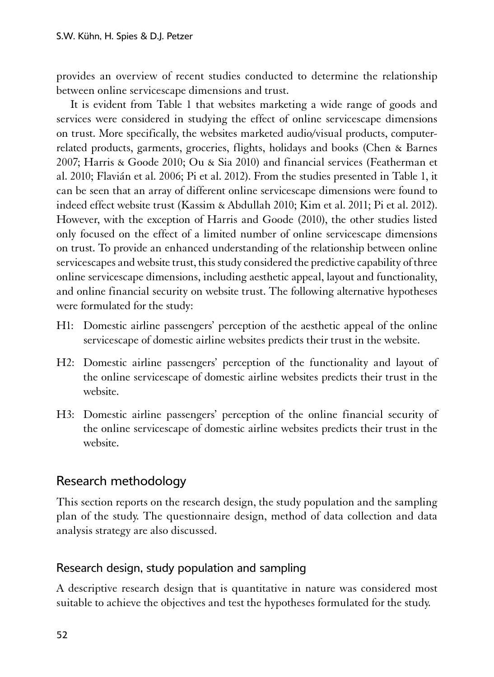provides an overview of recent studies conducted to determine the relationship between online servicescape dimensions and trust.

It is evident from Table 1 that websites marketing a wide range of goods and services were considered in studying the effect of online servicescape dimensions on trust. More specifically, the websites marketed audio/visual products, computerrelated products, garments, groceries, flights, holidays and books (Chen & Barnes 2007; Harris & Goode 2010; Ou & Sia 2010) and financial services (Featherman et al. 2010; Flavián et al. 2006; Pi et al. 2012). From the studies presented in Table 1, it can be seen that an array of different online servicescape dimensions were found to indeed effect website trust (Kassim & Abdullah 2010; Kim et al. 2011; Pi et al. 2012). However, with the exception of Harris and Goode (2010), the other studies listed only focused on the effect of a limited number of online servicescape dimensions on trust. To provide an enhanced understanding of the relationship between online servicescapes and website trust, this study considered the predictive capability of three online servicescape dimensions, including aesthetic appeal, layout and functionality, and online financial security on website trust. The following alternative hypotheses were formulated for the study:

- H1: Domestic airline passengers' perception of the aesthetic appeal of the online servicescape of domestic airline websites predicts their trust in the website.
- H2: Domestic airline passengers' perception of the functionality and layout of the online servicescape of domestic airline websites predicts their trust in the website.
- H3: Domestic airline passengers' perception of the online financial security of the online servicescape of domestic airline websites predicts their trust in the website.

# Research methodology

1This section reports on the research design, the study population and the sampling plan of the study. The questionnaire design, method of data collection and data analysis strategy are also discussed.

### Research design, study population and sampling

1A descriptive research design that is quantitative in nature was considered most suitable to achieve the objectives and test the hypotheses formulated for the study.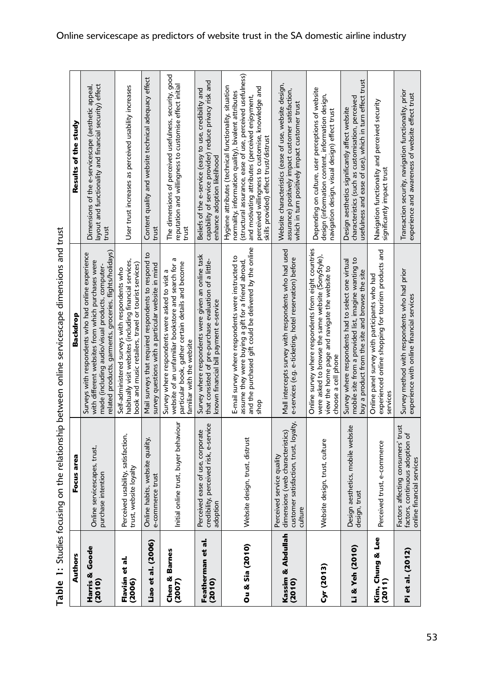|                             |                                                                                                                    | Table 1: Studies focusing on the relationship between online servicescape dimensions and trust                                                                                                                          |                                                                                                                                                                                                                                                                                                                               |
|-----------------------------|--------------------------------------------------------------------------------------------------------------------|-------------------------------------------------------------------------------------------------------------------------------------------------------------------------------------------------------------------------|-------------------------------------------------------------------------------------------------------------------------------------------------------------------------------------------------------------------------------------------------------------------------------------------------------------------------------|
| Authors                     | Focus area                                                                                                         | Backdrop                                                                                                                                                                                                                | Results of the study                                                                                                                                                                                                                                                                                                          |
| Harris & Goode<br>(2010)    | Online servicescapes, trust<br>purchase intention                                                                  | related products, garments, groceries, flights/holidays)<br>Surveys with respondents who had online experience<br>with different websites from which purchases were<br>made (including audio/visual products, computer- | layout and functionality and financial security) effect<br>Dimensions of the e-servicescape (aesthetic appeal<br>trust                                                                                                                                                                                                        |
| Flavián et al.<br>(2006)    | Perceived usability, satisfaction,<br>trust, website loyalty                                                       | habitually visit websites (including financial services<br>book and music retailers, travel or tourist services)<br>Self-administered surveys with respondents who                                                      | User trust increases as perceived usability increases                                                                                                                                                                                                                                                                         |
| Liao et al. (2006)          | Online habits, website quality,<br>e-commerce trust                                                                | đ<br>Mail surveys that required respondents to respond<br>survey questions with a particular website in mind                                                                                                            | Content quality and website technical adequacy effect<br>trust                                                                                                                                                                                                                                                                |
| Chen & Barnes<br>(2007)     | ial online trust, buyer behaviour<br>lniti                                                                         | ā<br>particular book, gather certain details and become<br>website of an unfamiliar bookstore and search for<br>Survey where respondents were asked to visit a<br>familiar with the website                             | The dimensions of perceived usefulness, security, good<br>reputation and willingness to customise effect initial<br>trust                                                                                                                                                                                                     |
| Featherman et al.<br>(2010) | credibility, perceived risk, e-service<br>Perceived ease of use, corporate<br>adoption                             | Survey where respondents were given an online task<br>that consisted of pre-purchase evaluation of a little-<br>known financial bill payment e-service                                                                  | capability of service provider) reduce privacy risk and<br>Beliefs of the e-service (easy to use, credibility and<br>enhance adoption likelihood                                                                                                                                                                              |
| Ou & Sia (2010)             | Website design, trust, distrust                                                                                    | and the purchased gift could be delivered by the online<br>E-mail survey where respondents were instructed to<br>assume they were buying a gift for a friend abroad,<br>shop                                            | (structural assurance, ease of use, perceived usefulness)<br>Hygiene attributes (technical functionality, situation<br>perceived willingness to customise, knowledge and<br>normality, information quality), bivalent attributes<br>and motivating attributes (perceived enjoyment,<br>skills provided) effect trust/distrust |
| Kassim & Abdullah<br>(2010) | customer satisfaction, trust, loyalty,<br>dimensions (web characteristics)<br>Perceived service quality<br>culture | Mall intercepts survey with respondents who had used<br>e-services (e.g. e-ticketing, hotel reservation) before                                                                                                         | Website characteristics (ease of use, website design,<br>assurance) positively impact customer satisfaction,<br>which in turn positively impact customer trust                                                                                                                                                                |
| Cyr(2013)                   | Website design, trust, culture                                                                                     | Online survey where respondents from eight countries<br>were asked to browse the same website (SonyStyle)<br>view the home page and navigate the website to<br>choose a cell phone                                      | Depending on culture, user perceptions of website<br>design (information content, information design,<br>navigation design, visual design) effect trust                                                                                                                                                                       |
| Li & Yeh (2010)             | Design aesthetics, mobile website<br>design, trust                                                                 | mobile site from a provided list, imagine wanting to<br>Survey where respondents had to select one virtual<br>buy a product from the site and browse the site                                                           | usefulness and ease of use), which in turn effect trust<br>characteristics (such as customisation, perceived<br>Design aesthetics significantly affect website                                                                                                                                                                |
| Kim, Chung & Lee<br>(2011)  | Perceived trust, e-commerce                                                                                        | experienced online shopping for tourism products and<br>Online panel survey with participants who had<br>services                                                                                                       | Navigation functionality and perceived security<br>significantly impact trust                                                                                                                                                                                                                                                 |
| Pi et al. (2012)            | Factors affecting consumers' trust<br>đ<br>factors, continuous adoption<br>online financial services               | Survey method with respondents who had prior<br>experience with online financial services                                                                                                                               | Transaction security, navigation functionality, prior<br>experience and awareness of website effect trust                                                                                                                                                                                                                     |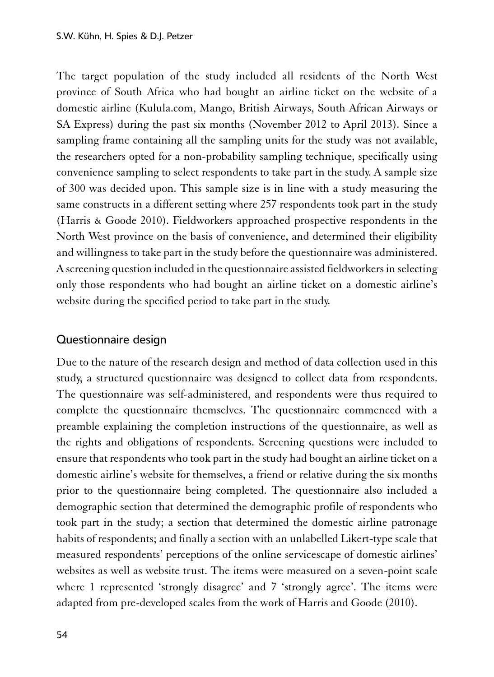1The target population of the study included all residents of the North West province of South Africa who had bought an airline ticket on the website of a domestic airline (Kulula.com, Mango, British Airways, South African Airways or SA Express) during the past six months (November 2012 to April 2013). Since a sampling frame containing all the sampling units for the study was not available, the researchers opted for a non-probability sampling technique, specifically using convenience sampling to select respondents to take part in the study. A sample size of 300 was decided upon. This sample size is in line with a study measuring the same constructs in a different setting where 257 respondents took part in the study (Harris & Goode 2010). Fieldworkers approached prospective respondents in the North West province on the basis of convenience, and determined their eligibility and willingness to take part in the study before the questionnaire was administered. A screening question included in the questionnaire assisted fieldworkers in selecting only those respondents who had bought an airline ticket on a domestic airline's website during the specified period to take part in the study.

### Questionnaire design

Due to the nature of the research design and method of data collection used in this study, a structured questionnaire was designed to collect data from respondents. The questionnaire was self-administered, and respondents were thus required to complete the questionnaire themselves. The questionnaire commenced with a preamble explaining the completion instructions of the questionnaire, as well as the rights and obligations of respondents. Screening questions were included to ensure that respondents who took part in the study had bought an airline ticket on a domestic airline's website for themselves, a friend or relative during the six months prior to the questionnaire being completed. The questionnaire also included a demographic section that determined the demographic profile of respondents who took part in the study; a section that determined the domestic airline patronage habits of respondents; and finally a section with an unlabelled Likert-type scale that measured respondents' perceptions of the online servicescape of domestic airlines' websites as well as website trust. The items were measured on a seven-point scale where 1 represented 'strongly disagree' and 7 'strongly agree'. The items were adapted from pre-developed scales from the work of Harris and Goode (2010).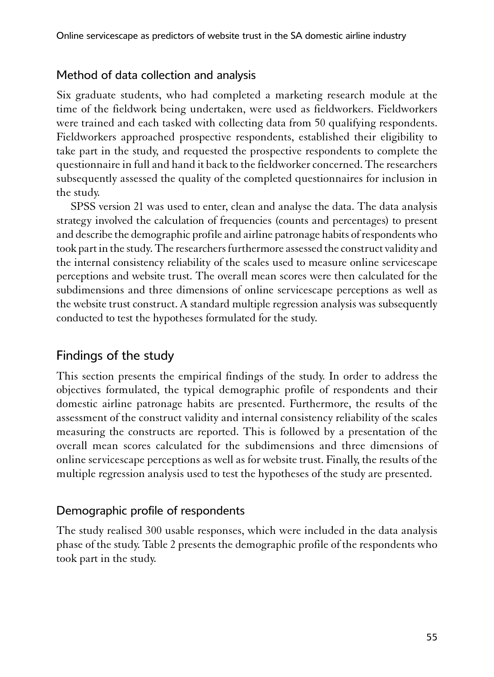# Method of data collection and analysis

Six graduate students, who had completed a marketing research module at the time of the fieldwork being undertaken, were used as fieldworkers. Fieldworkers were trained and each tasked with collecting data from 50 qualifying respondents. Fieldworkers approached prospective respondents, established their eligibility to take part in the study, and requested the prospective respondents to complete the questionnaire in full and hand it back to the fieldworker concerned. The researchers subsequently assessed the quality of the completed questionnaires for inclusion in the study.

SPSS version 21 was used to enter, clean and analyse the data. The data analysis strategy involved the calculation of frequencies (counts and percentages) to present and describe the demographic profile and airline patronage habits of respondents who took part in the study. The researchers furthermore assessed the construct validity and the internal consistency reliability of the scales used to measure online servicescape perceptions and website trust. The overall mean scores were then calculated for the subdimensions and three dimensions of online servicescape perceptions as well as the website trust construct. A standard multiple regression analysis was subsequently conducted to test the hypotheses formulated for the study.

# Findings of the study

1This section presents the empirical findings of the study. In order to address the objectives formulated, the typical demographic profile of respondents and their domestic airline patronage habits are presented. Furthermore, the results of the assessment of the construct validity and internal consistency reliability of the scales measuring the constructs are reported. This is followed by a presentation of the overall mean scores calculated for the subdimensions and three dimensions of online servicescape perceptions as well as for website trust. Finally, the results of the multiple regression analysis used to test the hypotheses of the study are presented.

### Demographic profile of respondents

1The study realised 300 usable responses, which were included in the data analysis phase of the study. Table 2 presents the demographic profile of the respondents who took part in the study.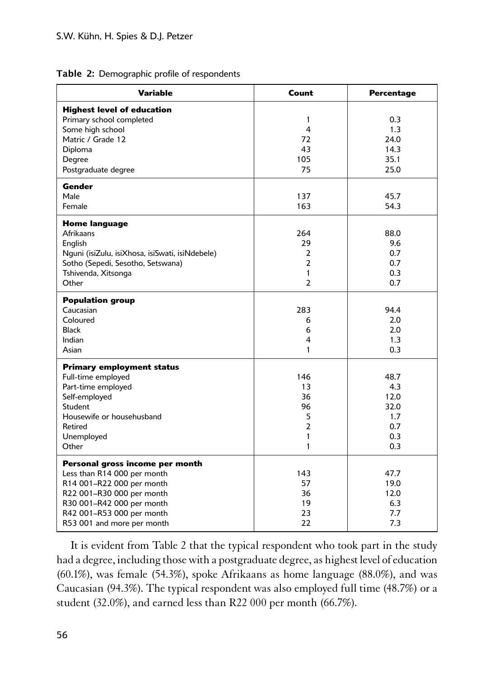|  |  |  |  | Table 2: Demographic profile of respondents |
|--|--|--|--|---------------------------------------------|
|--|--|--|--|---------------------------------------------|

| <b>Variable</b>                                 | Count          | <b>Percentage</b> |
|-------------------------------------------------|----------------|-------------------|
| <b>Highest level of education</b>               |                |                   |
| Primary school completed                        | 1              | 0.3               |
| Some high school                                | 4              | 1.3               |
| Matric / Grade 12                               | 72             | 24.0              |
| Diploma                                         | 43             | 14.3              |
| Degree                                          | 105            | 35.1              |
| Postgraduate degree                             | 75             | 25.0              |
| Gender                                          |                |                   |
| Male                                            | 137            | 45.7              |
| Female                                          | 163            | 54.3              |
| <b>Home language</b>                            |                |                   |
| Afrikaans                                       | 264            | 88.0              |
| English                                         | 29             | 9.6               |
| Nguni (isiZulu, isiXhosa, isiSwati, isiNdebele) | 2              | 0.7               |
| Sotho (Sepedi, Sesotho, Setswana)               | $\overline{2}$ | 0.7               |
| Tshivenda, Xitsonga                             | $\mathbf{1}$   | 0.3               |
| Other                                           | $\overline{2}$ | 0.7               |
| <b>Population group</b>                         |                |                   |
| Caucasian                                       | 283            | 94.4              |
| Coloured                                        | 6              | 2.0               |
| <b>Black</b>                                    | 6              | 2.0               |
| Indian                                          | 4              | 1.3               |
| Asian                                           | $\mathbf{1}$   | 0.3               |
| <b>Primary employment status</b>                |                |                   |
| Full-time employed                              | 146            | 48.7              |
| Part-time employed                              | 13             | 4.3               |
| Self-employed                                   | 36             | 12.0              |
| Student                                         | 96             | 32.0              |
| Housewife or househusband                       | 5              | 1.7               |
| Retired                                         | $\overline{2}$ | 0.7               |
| Unemployed                                      | 1              | 0.3               |
| Other                                           | 1              | 0.3               |
| Personal gross income per month                 |                |                   |
| Less than R14 000 per month                     | 143            | 47.7              |
| R14 001-R22 000 per month                       | 57             | 19.0              |
| R22 001-R30 000 per month                       | 36             | 12.0              |
| R30 001-R42 000 per month                       | 19             | 6.3               |
| R42 001-R53 000 per month                       | 23             | 7.7               |
|                                                 | 22             | 7.3               |
| R53 001 and more per month                      |                |                   |

It is evident from Table 2 that the typical respondent who took part in the study had a degree, including those with a postgraduate degree, as highest level of education (60.1%), was female (54.3%), spoke Afrikaans as home language (88.0%), and was Caucasian (94.3%). The typical respondent was also employed full time (48.7%) or a student (32.0%), and earned less than R22 000 per month (66.7%).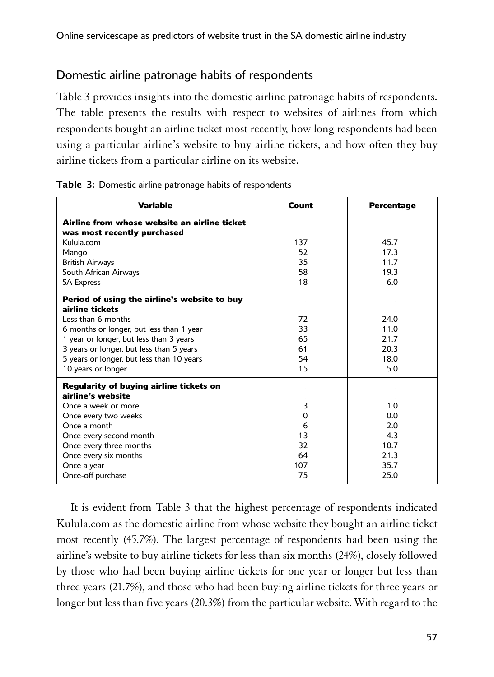# Domestic airline patronage habits of respondents

1Table 3 provides insights into the domestic airline patronage habits of respondents. The table presents the results with respect to websites of airlines from which respondents bought an airline ticket most recently, how long respondents had been using a particular airline's website to buy airline tickets, and how often they buy airline tickets from a particular airline on its website.

| <b>Variable</b>                                                             | Count    | <b>Percentage</b> |
|-----------------------------------------------------------------------------|----------|-------------------|
| Airline from whose website an airline ticket<br>was most recently purchased |          |                   |
| Kulula.com                                                                  | 137      | 45.7              |
| Mango                                                                       | 52       | 17.3              |
| <b>British Airways</b>                                                      | 35       | 11.7              |
| South African Airways                                                       | 58       | 19.3              |
| <b>SA Express</b>                                                           | 18       | 6.0               |
| Period of using the airline's website to buy                                |          |                   |
| airline tickets                                                             |          |                   |
| Less than 6 months                                                          | 72       | 74.0              |
| 6 months or longer, but less than 1 year                                    | 33       | 11.0              |
| 1 year or longer, but less than 3 years                                     | 65       | 21.7              |
| 3 years or longer, but less than 5 years                                    | 61       | 20.3              |
| 5 years or longer, but less than 10 years                                   | 54       | 18.0              |
| 10 years or longer                                                          | 15       | 5.0               |
| Regularity of buying airline tickets on                                     |          |                   |
| airline's website                                                           |          |                   |
| Once a week or more                                                         | 3        | 1.0               |
| Once every two weeks                                                        | $\Omega$ | 0.0               |
| Once a month                                                                | 6        | 2.0               |
| Once every second month                                                     | 13       | 4.3               |
| Once every three months                                                     | 32       | 10.7              |
| Once every six months                                                       | 64       | 21.3              |
| Once a year                                                                 | 107      | 35.7              |
| Once-off purchase                                                           | 75       | 25.0              |

|  |  |  |  | Table 3: Domestic airline patronage habits of respondents |  |  |  |
|--|--|--|--|-----------------------------------------------------------|--|--|--|
|--|--|--|--|-----------------------------------------------------------|--|--|--|

It is evident from Table 3 that the highest percentage of respondents indicated Kulula.com as the domestic airline from whose website they bought an airline ticket most recently (45.7%). The largest percentage of respondents had been using the airline's website to buy airline tickets for less than six months (24%), closely followed by those who had been buying airline tickets for one year or longer but less than three years (21.7%), and those who had been buying airline tickets for three years or longer but less than five years (20.3%) from the particular website. With regard to the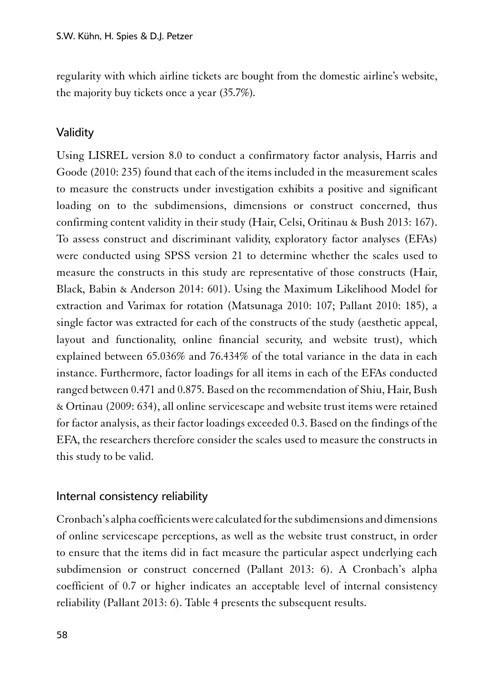regularity with which airline tickets are bought from the domestic airline's website, the majority buy tickets once a year (35.7%).

### Validity

Using LISREL version 8.0 to conduct a confirmatory factor analysis, Harris and Goode (2010: 235) found that each of the items included in the measurement scales to measure the constructs under investigation exhibits a positive and significant loading on to the subdimensions, dimensions or construct concerned, thus confirming content validity in their study (Hair, Celsi, Oritinau & Bush 2013: 167). To assess construct and discriminant validity, exploratory factor analyses (EFAs) were conducted using SPSS version 21 to determine whether the scales used to measure the constructs in this study are representative of those constructs (Hair, Black, Babin & Anderson 2014: 601). Using the Maximum Likelihood Model for extraction and Varimax for rotation (Matsunaga 2010: 107; Pallant 2010: 185), a single factor was extracted for each of the constructs of the study (aesthetic appeal, layout and functionality, online financial security, and website trust), which explained between 65.036% and 76.434% of the total variance in the data in each instance. Furthermore, factor loadings for all items in each of the EFAs conducted ranged between 0.471 and 0.875. Based on the recommendation of Shiu, Hair, Bush & Ortinau (2009: 634), all online servicescape and website trust items were retained for factor analysis, as their factor loadings exceeded 0.3. Based on the findings of the EFA, the researchers therefore consider the scales used to measure the constructs in this study to be valid.

### Internal consistency reliability

1Cronbach's alpha coefficients were calculated for the subdimensions and dimensions of online servicescape perceptions, as well as the website trust construct, in order to ensure that the items did in fact measure the particular aspect underlying each subdimension or construct concerned (Pallant 2013: 6). A Cronbach's alpha coefficient of 0.7 or higher indicates an acceptable level of internal consistency reliability (Pallant 2013: 6). Table 4 presents the subsequent results.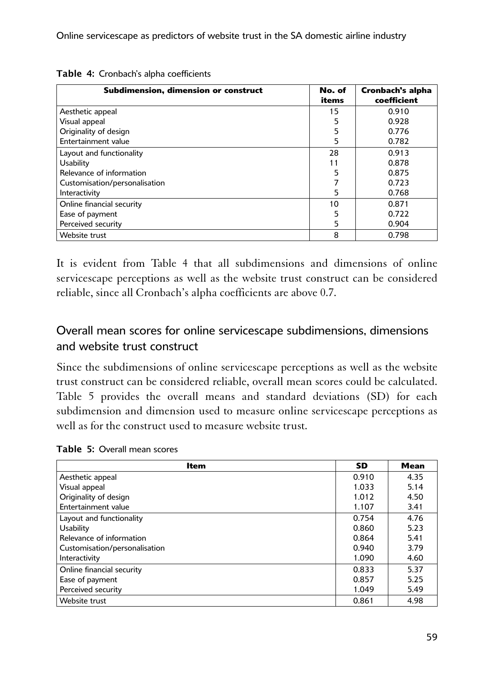| <b>Subdimension, dimension or construct</b> | No. of<br>items | Cronbach's alpha<br>coefficient |
|---------------------------------------------|-----------------|---------------------------------|
| Aesthetic appeal                            | 15              | 0.910                           |
| Visual appeal                               |                 | 0.928                           |
| Originality of design                       |                 | 0.776                           |
| Entertainment value                         |                 | 0.782                           |
| Layout and functionality                    | 28              | 0.913                           |
| <b>Usability</b>                            | 11              | 0.878                           |
| Relevance of information                    | 5               | 0.875                           |
| Customisation/personalisation               |                 | 0.723                           |
| Interactivity                               |                 | 0.768                           |
| Online financial security                   | 10              | 0.871                           |
| Ease of payment                             |                 | 0.722                           |
| Perceived security                          | 5               | 0.904                           |
| Website trust                               | 8               | 0.798                           |

1It is evident from Table 4 that all subdimensions and dimensions of online servicescape perceptions as well as the website trust construct can be considered reliable, since all Cronbach's alpha coefficients are above 0.7.

# Overall mean scores for online servicescape subdimensions, dimensions and website trust construct

Since the subdimensions of online servicescape perceptions as well as the website trust construct can be considered reliable, overall mean scores could be calculated. Table 5 provides the overall means and standard deviations (SD) for each subdimension and dimension used to measure online servicescape perceptions as well as for the construct used to measure website trust.

|  |  | Table 5: Overall mean scores |  |  |
|--|--|------------------------------|--|--|
|--|--|------------------------------|--|--|

| ltem                          | <b>SD</b> | Mean |
|-------------------------------|-----------|------|
| Aesthetic appeal              | 0.910     | 4.35 |
| Visual appeal                 | 1.033     | 5.14 |
| Originality of design         | 1.012     | 4.50 |
| Entertainment value           | 1.107     | 3.41 |
| Layout and functionality      | 0.754     | 4.76 |
| <b>Usability</b>              | 0.860     | 5.23 |
| Relevance of information      | 0.864     | 5.41 |
| Customisation/personalisation | 0.940     | 3.79 |
| Interactivity                 | 1.090     | 4.60 |
| Online financial security     | 0.833     | 5.37 |
| Ease of payment               | 0.857     | 5.25 |
| Perceived security            | 1.049     | 5.49 |
| Website trust                 | 0.861     | 4.98 |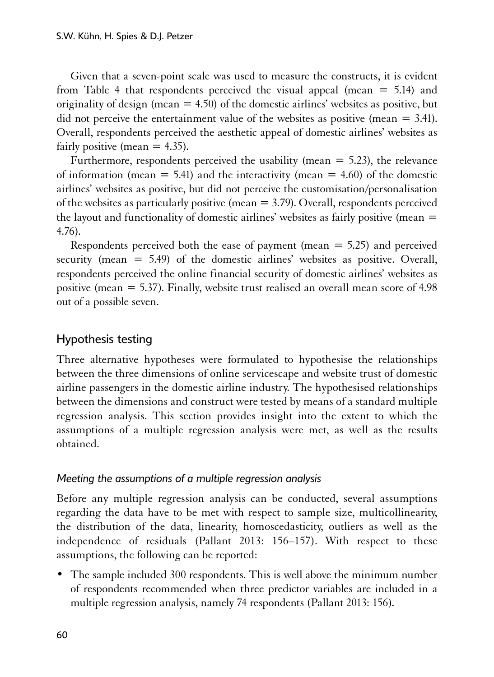Given that a seven-point scale was used to measure the constructs, it is evident from Table 4 that respondents perceived the visual appeal (mean = 5.14) and originality of design (mean = 4.50) of the domestic airlines' websites as positive, but did not perceive the entertainment value of the websites as positive (mean  $=$  3.41). Overall, respondents perceived the aesthetic appeal of domestic airlines' websites as fairly positive (mean  $= 4.35$ ).

Furthermore, respondents perceived the usability (mean  $=$  5.23), the relevance of information (mean  $= 5.41$ ) and the interactivity (mean  $= 4.60$ ) of the domestic airlines' websites as positive, but did not perceive the customisation/personalisation of the websites as particularly positive (mean = 3.79). Overall, respondents perceived the layout and functionality of domestic airlines' websites as fairly positive (mean = 4.76).

Respondents perceived both the ease of payment (mean  $=$  5.25) and perceived security (mean = 5.49) of the domestic airlines' websites as positive. Overall, respondents perceived the online financial security of domestic airlines' websites as positive (mean = 5.37). Finally, website trust realised an overall mean score of 4.98 out of a possible seven.

### Hypothesis testing

1Three alternative hypotheses were formulated to hypothesise the relationships between the three dimensions of online servicescape and website trust of domestic airline passengers in the domestic airline industry. The hypothesised relationships between the dimensions and construct were tested by means of a standard multiple regression analysis. This section provides insight into the extent to which the assumptions of a multiple regression analysis were met, as well as the results obtained.

#### *Meeting the assumptions of a multiple regression analysis*

1Before any multiple regression analysis can be conducted, several assumptions regarding the data have to be met with respect to sample size, multicollinearity, the distribution of the data, linearity, homoscedasticity, outliers as well as the independence of residuals (Pallant 2013: 156–157). With respect to these assumptions, the following can be reported:

• The sample included 300 respondents. This is well above the minimum number of respondents recommended when three predictor variables are included in a multiple regression analysis, namely 74 respondents (Pallant 2013: 156).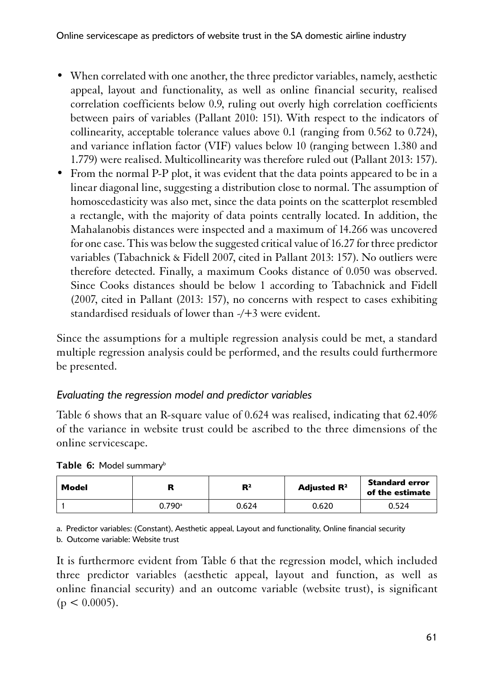- When correlated with one another, the three predictor variables, namely, aesthetic appeal, layout and functionality, as well as online financial security, realised correlation coefficients below 0.9, ruling out overly high correlation coefficients between pairs of variables (Pallant 2010: 151). With respect to the indicators of collinearity, acceptable tolerance values above 0.1 (ranging from 0.562 to 0.724), and variance inflation factor (VIF) values below 10 (ranging between 1.380 and 1.779) were realised. Multicollinearity was therefore ruled out (Pallant 2013: 157).
- From the normal P-P plot, it was evident that the data points appeared to be in a linear diagonal line, suggesting a distribution close to normal. The assumption of homoscedasticity was also met, since the data points on the scatterplot resembled a rectangle, with the majority of data points centrally located. In addition, the Mahalanobis distances were inspected and a maximum of 14.266 was uncovered for one case. This was below the suggested critical value of 16.27 for three predictor variables (Tabachnick & Fidell 2007, cited in Pallant 2013: 157). No outliers were therefore detected. Finally, a maximum Cooks distance of 0.050 was observed. Since Cooks distances should be below 1 according to Tabachnick and Fidell (2007, cited in Pallant (2013: 157), no concerns with respect to cases exhibiting standardised residuals of lower than -/+3 were evident.

Since the assumptions for a multiple regression analysis could be met, a standard multiple regression analysis could be performed, and the results could furthermore be presented.

#### *Evaluating the regression model and predictor variables*

1Table 6 shows that an R-square value of 0.624 was realised, indicating that 62.40% of the variance in website trust could be ascribed to the three dimensions of the online servicescape.

| Model | D2 | <b>Adiusted R<sup>2</sup></b> | <b>Standard error</b><br>of the estimate |
|-------|----|-------------------------------|------------------------------------------|
|       |    |                               |                                          |

Table 6: Model summary<sup>b</sup>

a. Predictor variables: (Constant), Aesthetic appeal, Layout and functionality, Online financial security

 $\begin{array}{|c|c|c|c|c|c|c|c|}\n\hline\n1 & 0.524 & 0.620 & 0.524 \\
\hline\n\end{array}$ 

b. Outcome variable: Website trust

1It is furthermore evident from Table 6 that the regression model, which included three predictor variables (aesthetic appeal, layout and function, as well as online financial security) and an outcome variable (website trust), is significant  $(p < 0.0005)$ .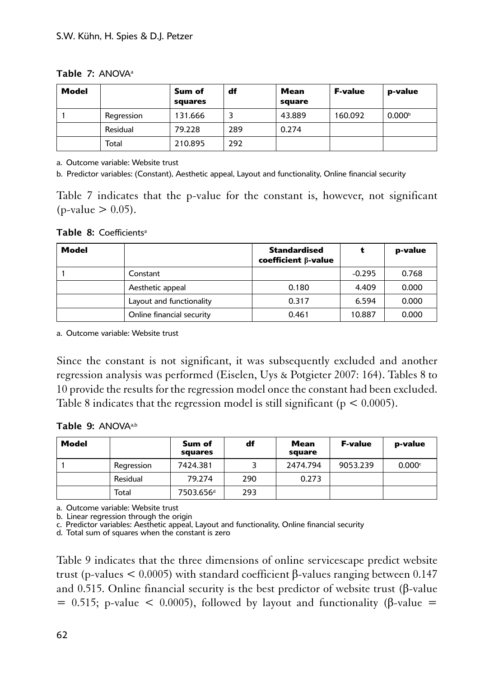|  |  |  | <b>Table 7: ANOVA</b> <sup>a</sup> |
|--|--|--|------------------------------------|
|--|--|--|------------------------------------|

| Model |            | Sum of<br>squares | df  | Mean<br>square | <b>F-value</b> | p-value            |
|-------|------------|-------------------|-----|----------------|----------------|--------------------|
|       | Regression | 131.666           |     | 43.889         | 160.092        | 0.000 <sup>b</sup> |
|       | Residual   | 79.228            | 289 | 0.274          |                |                    |
|       | Total      | 210.895           | 292 |                |                |                    |

a. Outcome variable: Website trust

<sup>1</sup>b. Predictor variables: (Constant), Aesthetic appeal, Layout and functionality, Online financial security

1Table 7 indicates that the p-value for the constant is, however, not significant  $(p-value > 0.05)$ .

Table 8: Coefficients<sup>a</sup>

| Model |                           | <b>Standardised</b><br>coefficient <b>B</b> -value |          | p-value |
|-------|---------------------------|----------------------------------------------------|----------|---------|
|       | Constant                  |                                                    | $-0.295$ | 0.768   |
|       | Aesthetic appeal          | 0.180                                              | 4.409    | 0.000   |
|       | Layout and functionality  | 0.317                                              | 6.594    | 0.000   |
|       | Online financial security | 0.461                                              | 10.887   | 0.000   |

a. Outcome variable: Website trust

Since the constant is not significant, it was subsequently excluded and another regression analysis was performed (Eiselen, Uys & Potgieter 2007: 164). Tables 8 to 10 provide the results for the regression model once the constant had been excluded. Table 8 indicates that the regression model is still significant ( $p < 0.0005$ ).

|  |  |  | <b>Table 9: ANOVAª.b</b> |
|--|--|--|--------------------------|
|--|--|--|--------------------------|

| Model |            | Sum of<br>squares     | df  | Mean<br>square | <b>F-value</b> | p-value            |
|-------|------------|-----------------------|-----|----------------|----------------|--------------------|
|       | Regression | 7424.381              |     | 2474.794       | 9053.239       | 0.000 <sup>c</sup> |
|       | Residual   | 79.274                | 290 | 0.273          |                |                    |
|       | Total      | 7503.656 <sup>d</sup> | 293 |                |                |                    |

a. Outcome variable: Website trust

b. Linear regression through the origin

<sup>1</sup>c. Predictor variables: Aesthetic appeal, Layout and functionality, Online financial security

<sup>1</sup>d. Total sum of squares when the constant is zero

1Table 9 indicates that the three dimensions of online servicescape predict website trust (p-values < 0.0005) with standard coefficient β-values ranging between 0.147 and 0.515. Online financial security is the best predictor of website trust  $(\beta$ -value  $= 0.515$ ; p-value < 0.0005), followed by layout and functionality (β-value =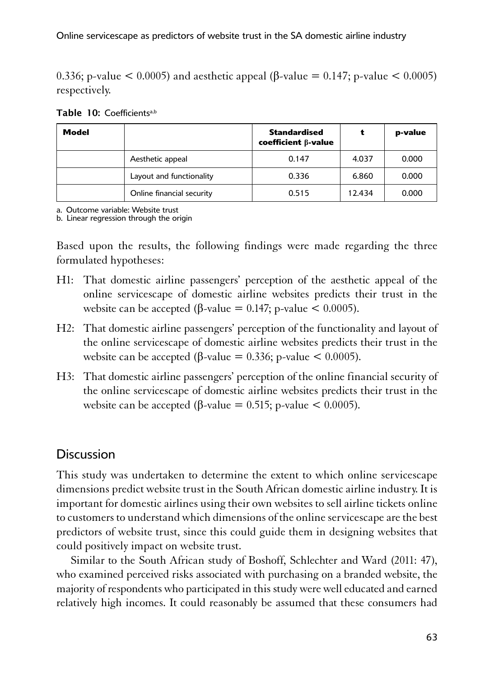0.336; p-value  $\lt$  0.0005) and aesthetic appeal (β-value = 0.147; p-value  $\lt$  0.0005) respectively.

| Model |                           | <b>Standardised</b><br>coefficient $\beta$ -value |        | p-value |
|-------|---------------------------|---------------------------------------------------|--------|---------|
|       | Aesthetic appeal          | 0.147                                             | 4.037  | 0.000   |
|       | Layout and functionality  | 0.336                                             | 6.860  | 0.000   |
|       | Online financial security | 0.515                                             | 12.434 | 0.000   |

Table 10: Coefficientsa,b

a. Outcome variable: Website trust

<sup>1</sup>b. Linear regression through the origin

1Based upon the results, the following findings were made regarding the three formulated hypotheses:

- H1: That domestic airline passengers' perception of the aesthetic appeal of the online servicescape of domestic airline websites predicts their trust in the website can be accepted ( $\beta$ -value = 0.147; p-value < 0.0005).
- H2: That domestic airline passengers' perception of the functionality and layout of the online servicescape of domestic airline websites predicts their trust in the website can be accepted ( $\beta$ -value = 0.336; p-value < 0.0005).
- H3: That domestic airline passengers' perception of the online financial security of the online servicescape of domestic airline websites predicts their trust in the website can be accepted ( $\beta$ -value = 0.515; p-value < 0.0005).

# **Discussion**

1This study was undertaken to determine the extent to which online servicescape dimensions predict website trust in the South African domestic airline industry. It is important for domestic airlines using their own websites to sell airline tickets online to customers to understand which dimensions of the online servicescape are the best predictors of website trust, since this could guide them in designing websites that could positively impact on website trust.

Similar to the South African study of Boshoff, Schlechter and Ward (2011: 47), who examined perceived risks associated with purchasing on a branded website, the majority of respondents who participated in this study were well educated and earned relatively high incomes. It could reasonably be assumed that these consumers had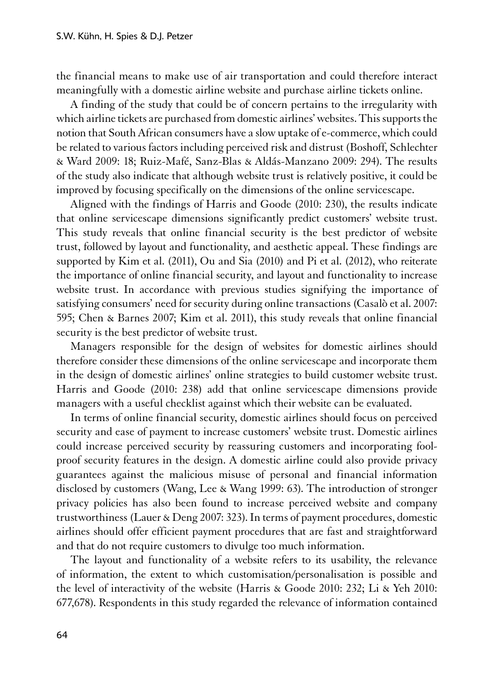the financial means to make use of air transportation and could therefore interact meaningfully with a domestic airline website and purchase airline tickets online.

A finding of the study that could be of concern pertains to the irregularity with which airline tickets are purchased from domestic airlines' websites. This supports the notion that South African consumers have a slow uptake of e-commerce, which could be related to various factors including perceived risk and distrust (Boshoff, Schlechter & Ward 2009: 18; Ruiz-Mafé, Sanz-Blas & Aldás-Manzano 2009: 294). The results of the study also indicate that although website trust is relatively positive, it could be improved by focusing specifically on the dimensions of the online servicescape.

Aligned with the findings of Harris and Goode (2010: 230), the results indicate that online servicescape dimensions significantly predict customers' website trust. This study reveals that online financial security is the best predictor of website trust, followed by layout and functionality, and aesthetic appeal. These findings are supported by Kim et al. (2011), Ou and Sia (2010) and Pi et al. (2012), who reiterate the importance of online financial security, and layout and functionality to increase website trust. In accordance with previous studies signifying the importance of satisfying consumers' need for security during online transactions (Casalò et al. 2007: 595; Chen & Barnes 2007; Kim et al. 2011), this study reveals that online financial security is the best predictor of website trust.

Managers responsible for the design of websites for domestic airlines should therefore consider these dimensions of the online servicescape and incorporate them in the design of domestic airlines' online strategies to build customer website trust. Harris and Goode (2010: 238) add that online servicescape dimensions provide managers with a useful checklist against which their website can be evaluated.

In terms of online financial security, domestic airlines should focus on perceived security and ease of payment to increase customers' website trust. Domestic airlines could increase perceived security by reassuring customers and incorporating foolproof security features in the design. A domestic airline could also provide privacy guarantees against the malicious misuse of personal and financial information disclosed by customers (Wang, Lee & Wang 1999: 63). The introduction of stronger privacy policies has also been found to increase perceived website and company trustworthiness (Lauer & Deng 2007: 323). In terms of payment procedures, domestic airlines should offer efficient payment procedures that are fast and straightforward and that do not require customers to divulge too much information.

The layout and functionality of a website refers to its usability, the relevance of information, the extent to which customisation/personalisation is possible and the level of interactivity of the website (Harris & Goode 2010: 232; Li & Yeh 2010: 677,678). Respondents in this study regarded the relevance of information contained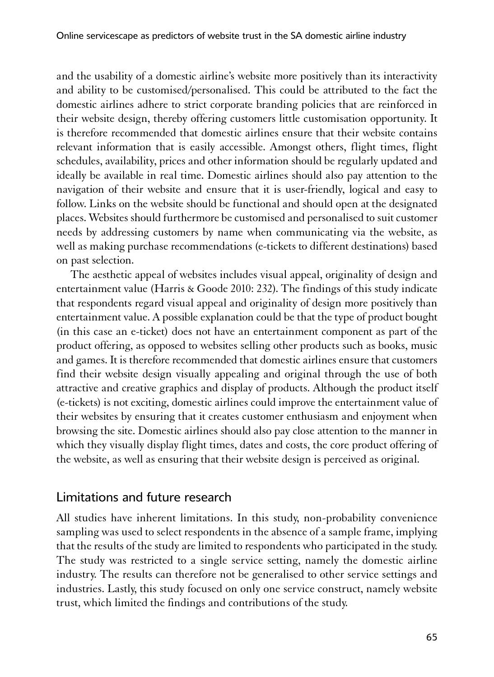and the usability of a domestic airline's website more positively than its interactivity and ability to be customised/personalised. This could be attributed to the fact the domestic airlines adhere to strict corporate branding policies that are reinforced in their website design, thereby offering customers little customisation opportunity. It is therefore recommended that domestic airlines ensure that their website contains relevant information that is easily accessible. Amongst others, flight times, flight schedules, availability, prices and other information should be regularly updated and ideally be available in real time. Domestic airlines should also pay attention to the navigation of their website and ensure that it is user-friendly, logical and easy to follow. Links on the website should be functional and should open at the designated places. Websites should furthermore be customised and personalised to suit customer needs by addressing customers by name when communicating via the website, as well as making purchase recommendations (e-tickets to different destinations) based on past selection.

The aesthetic appeal of websites includes visual appeal, originality of design and entertainment value (Harris & Goode 2010: 232). The findings of this study indicate that respondents regard visual appeal and originality of design more positively than entertainment value. A possible explanation could be that the type of product bought (in this case an e-ticket) does not have an entertainment component as part of the product offering, as opposed to websites selling other products such as books, music and games. It is therefore recommended that domestic airlines ensure that customers find their website design visually appealing and original through the use of both attractive and creative graphics and display of products. Although the product itself (e-tickets) is not exciting, domestic airlines could improve the entertainment value of their websites by ensuring that it creates customer enthusiasm and enjoyment when browsing the site. Domestic airlines should also pay close attention to the manner in which they visually display flight times, dates and costs, the core product offering of the website, as well as ensuring that their website design is perceived as original.

### Limitations and future research

1All studies have inherent limitations. In this study, non-probability convenience sampling was used to select respondents in the absence of a sample frame, implying that the results of the study are limited to respondents who participated in the study. The study was restricted to a single service setting, namely the domestic airline industry. The results can therefore not be generalised to other service settings and industries. Lastly, this study focused on only one service construct, namely website trust, which limited the findings and contributions of the study.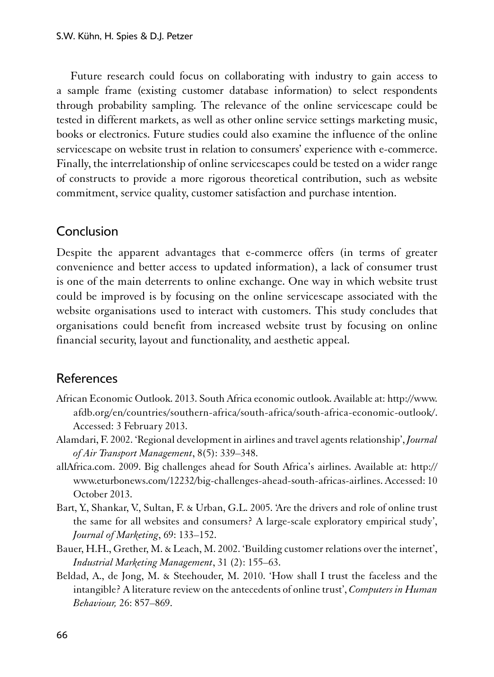Future research could focus on collaborating with industry to gain access to a sample frame (existing customer database information) to select respondents through probability sampling. The relevance of the online servicescape could be tested in different markets, as well as other online service settings marketing music, books or electronics. Future studies could also examine the influence of the online servicescape on website trust in relation to consumers' experience with e-commerce. Finally, the interrelationship of online servicescapes could be tested on a wider range of constructs to provide a more rigorous theoretical contribution, such as website commitment, service quality, customer satisfaction and purchase intention.

# Conclusion

Despite the apparent advantages that e-commerce offers (in terms of greater convenience and better access to updated information), a lack of consumer trust is one of the main deterrents to online exchange. One way in which website trust could be improved is by focusing on the online servicescape associated with the website organisations used to interact with customers. This study concludes that organisations could benefit from increased website trust by focusing on online financial security, layout and functionality, and aesthetic appeal.

### References

- African Economic Outlook. 2013. South Africa economic outlook. Available at: http://www. afdb.org/en/countries/southern-africa/south-africa/south-africa-economic-outlook/. Accessed: 3 February 2013.
- Alamdari, F. 2002. 'Regional development in airlines and travel agents relationship', *Journal of Air Transport Management*, 8(5): 339–348.
- allAfrica.com. 2009. Big challenges ahead for South Africa's airlines. Available at: http:// www.eturbonews.com/12232/big-challenges-ahead-south-africas-airlines. Accessed: 10 October 2013.
- Bart, Y., Shankar, V., Sultan, F. & Urban, G.L. 2005. 'Are the drivers and role of online trust the same for all websites and consumers? A large-scale exploratory empirical study', *Journal of Marketing*, 69: 133–152.
- Bauer, H.H., Grether, M. & Leach, M. 2002. 'Building customer relations over the internet', *Industrial Marketing Management*, 31 (2): 155–63.
- Beldad, A., de Jong, M. & Steehouder, M. 2010. 'How shall I trust the faceless and the intangible? A literature review on the antecedents of online trust', *Computers in Human Behaviour,* 26: 857–869.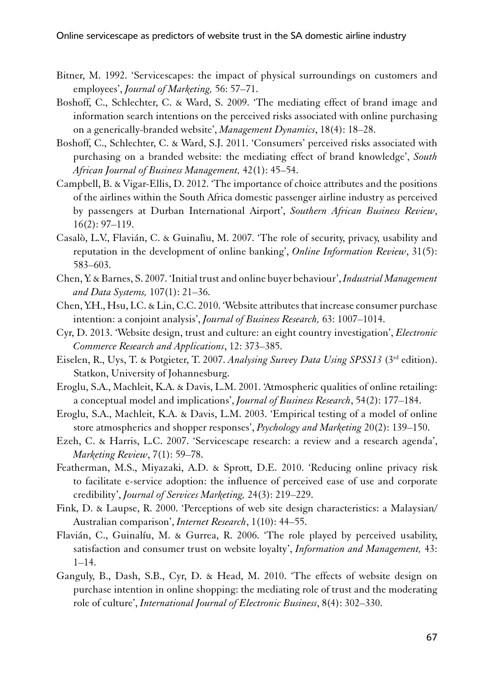- Bitner, M. 1992. 'Servicescapes: the impact of physical surroundings on customers and employees', *Journal of Marketing,* 56: 57–71.
- Boshoff, C., Schlechter, C. & Ward, S. 2009. 'The mediating effect of brand image and information search intentions on the perceived risks associated with online purchasing on a generically-branded website', *Management Dynamics*, 18(4): 18–28.
- Boshoff, C., Schlechter, C. & Ward, S.J. 2011. 'Consumers' perceived risks associated with purchasing on a branded website: the mediating effect of brand knowledge', *South African Journal of Business Management,* 42(1): 45–54.
- Campbell, B. & Vigar-Ellis, D. 2012. 'The importance of choice attributes and the positions of the airlines within the South Africa domestic passenger airline industry as perceived by passengers at Durban International Airport', *Southern African Business Review*, 16(2): 97–119.
- Casalò, L.V., Flavián, C. & Guinalìu, M. 2007. 'The role of security, privacy, usability and reputation in the development of online banking', *Online Information Review*, 31(5): 583–603.
- Chen, Y. & Barnes, S. 2007. 'Initial trust and online buyer behaviour', *Industrial Management and Data Systems,* 107(1): 21–36.
- Chen, Y.H., Hsu, I.C. & Lin, C.C. 2010. 'Website attributes that increase consumer purchase intention: a conjoint analysis', *Journal of Business Research,* 63: 1007–1014.
- Cyr, D. 2013. 'Website design, trust and culture: an eight country investigation', *Electronic Commerce Research and Applications*, 12: 373–385.
- Eiselen, R., Uys, T. & Potgieter, T. 2007. *Analysing Survey Data Using SPSS13* (3rd edition). Statkon, University of Johannesburg.
- Eroglu, S.A., Machleit, K.A. & Davis, L.M. 2001. 'Atmospheric qualities of online retailing: a conceptual model and implications', *Journal of Business Research*, 54(2): 177–184.
- Eroglu, S.A., Machleit, K.A. & Davis, L.M. 2003. 'Empirical testing of a model of online store atmospherics and shopper responses', *Psychology and Marketing* 20(2): 139–150.
- Ezeh, C. & Harris, L.C. 2007. 'Servicescape research: a review and a research agenda', *Marketing Review*, 7(1): 59–78.
- Featherman, M.S., Miyazaki, A.D. & Sprott, D.E. 2010. 'Reducing online privacy risk to facilitate e-service adoption: the influence of perceived ease of use and corporate credibility', *Journal of Services Marketing,* 24(3): 219–229.
- Fink, D. & Laupse, R. 2000. 'Perceptions of web site design characteristics: a Malaysian/ Australian comparison', *Internet Research*, 1(10): 44–55.
- Flavián, C., Guinalíu, M. & Gurrea, R. 2006. 'The role played by perceived usability, satisfaction and consumer trust on website loyalty', *Information and Management,* 43: 1–14.
- Ganguly, B., Dash, S.B., Cyr, D. & Head, M. 2010. 'The effects of website design on purchase intention in online shopping: the mediating role of trust and the moderating role of culture', *International Journal of Electronic Business*, 8(4): 302–330.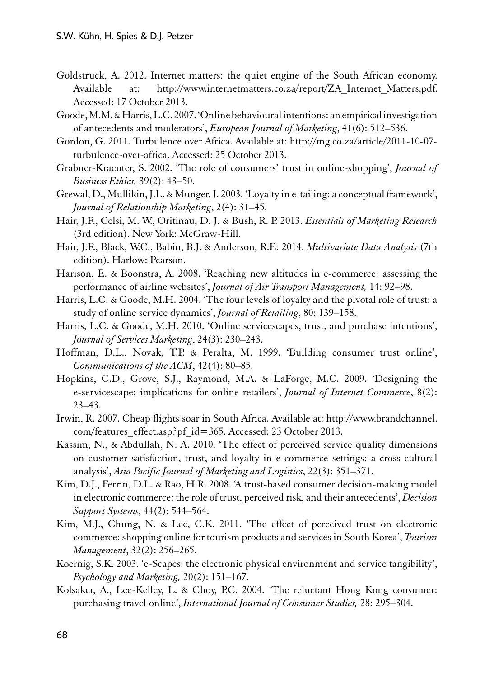- Goldstruck, A. 2012. Internet matters: the quiet engine of the South African economy. Available at: http://www.internetmatters.co.za/report/ZA\_Internet\_Matters.pdf. Accessed: 17 October 2013.
- Goode, M.M. & Harris, L.C. 2007. 'Online behavioural intentions: an empirical investigation of antecedents and moderators', *European Journal of Marketing*, 41(6): 512–536.
- Gordon, G. 2011. Turbulence over Africa. Available at: [http://mg.co.za/article/2011-10-07](http://mg.co.za/article/2011-10-07-turbulence-over-africa) [turbulence-over-africa.](http://mg.co.za/article/2011-10-07-turbulence-over-africa) Accessed: 25 October 2013.
- Grabner-Kraeuter, S. 2002. 'The role of consumers' trust in online-shopping', *Journal of Business Ethics,* 39(2): 43–50.
- Grewal, D., Mullikin, J.L. & Munger, J. 2003. 'Loyalty in e-tailing: a conceptual framework', *Journal of Relationship Marketing*, 2(4): 31–45.
- Hair, J.F., Celsi, M. W., Oritinau, D. J. & Bush, R. P. 2013. *Essentials of Marketing Research* (3rd edition). New York: McGraw-Hill.
- Hair, J.F., Black, W.C., Babin, B.J. & Anderson, R.E. 2014. *Multivariate Data Analysis* (7th edition). Harlow: Pearson.
- Harison, E. & Boonstra, A. 2008. 'Reaching new altitudes in e-commerce: assessing the performance of airline websites', *Journal of Air Transport Management,* 14: 92–98.
- Harris, L.C. & Goode, M.H. 2004. 'The four levels of loyalty and the pivotal role of trust: a study of online service dynamics', *Journal of Retailing*, 80: 139–158.
- Harris, L.C. & Goode, M.H. 2010. 'Online servicescapes, trust, and purchase intentions', *Journal of Services Marketing*, 24(3): 230–243.
- Hoffman, D.L., Novak, T.P. & Peralta, M. 1999. 'Building consumer trust online', *Communications of the ACM*, 42(4): 80–85.
- Hopkins, C.D., Grove, S.J., Raymond, M.A. & LaForge, M.C. 2009. 'Designing the e-servicescape: implications for online retailers', *Journal of Internet Commerce*, 8(2): 23–43.
- Irwin, R. 2007. Cheap flights soar in South Africa. Available at: http://www.brandchannel. com/features\_effect.asp?pf\_id=365. Accessed: 23 October 2013.
- Kassim, N., & Abdullah, N. A. 2010. 'The effect of perceived service quality dimensions on customer satisfaction, trust, and loyalty in e-commerce settings: a cross cultural analysis', *Asia Pacific Journal of Marketing and Logistics*, 22(3): 351–371.
- Kim, D.J., Ferrin, D.L. & Rao, H.R. 2008. 'A trust-based consumer decision-making model in electronic commerce: the role of trust, perceived risk, and their antecedents', *Decision Support Systems*, 44(2): 544–564.
- Kim, M.J., Chung, N. & Lee, C.K. 2011. 'The effect of perceived trust on electronic commerce: shopping online for tourism products and services in South Korea', *Tourism Management*, 32(2): 256–265.
- Koernig, S.K. 2003. 'e-Scapes: the electronic physical environment and service tangibility', *Psychology and Marketing,* 20(2): 151–167.
- Kolsaker, A., Lee-Kelley, L. & Choy, P.C. 2004. 'The reluctant Hong Kong consumer: purchasing travel online', *International Journal of Consumer Studies,* 28: 295–304.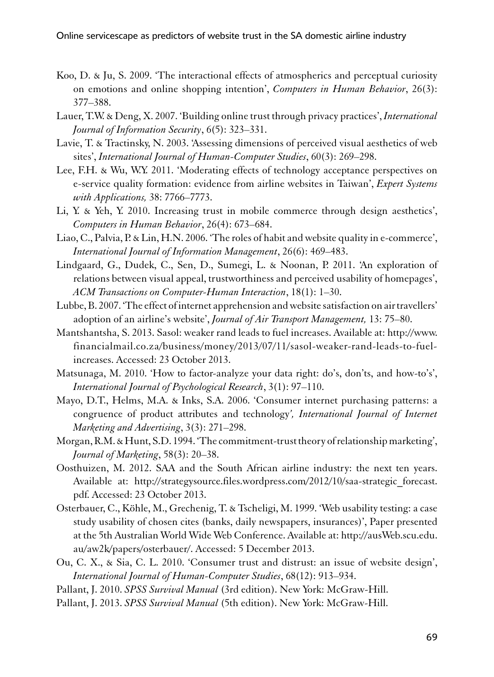- Koo, D. & Ju, S. 2009. 'The interactional effects of atmospherics and perceptual curiosity on emotions and online shopping intention', *Computers in Human Behavior*, 26(3): 377–388.
- Lauer, T.W. & Deng, X. 2007. 'Building online trust through privacy practices', *International Journal of Information Security*, 6(5): 323–331.
- Lavie, T. & Tractinsky, N. 2003. 'Assessing dimensions of perceived visual aesthetics of web sites', *International Journal of Human-Computer Studies*, 60(3): 269–298.
- Lee, F.H. & Wu, W.Y. 2011. 'Moderating effects of technology acceptance perspectives on e-service quality formation: evidence from airline websites in Taiwan', *Expert Systems with Applications,* 38: 7766–7773.
- Li, Y. & Yeh, Y. 2010. Increasing trust in mobile commerce through design aesthetics', *Computers in Human Behavior*, 26(4): 673–684.
- Liao, C., Palvia, P. & Lin, H.N. 2006. 'The roles of habit and website quality in e-commerce', *International Journal of Information Management*, 26(6): 469–483.
- Lindgaard, G., Dudek, C., Sen, D., Sumegi, L. & Noonan, P. 2011. 'An exploration of relations between visual appeal, trustworthiness and perceived usability of homepages', *ACM Transactions on Computer-Human Interaction*, 18(1): 1–30.
- Lubbe, B. 2007. 'The effect of internet apprehension and website satisfaction on air travellers' adoption of an airline's website', *Journal of Air Transport Management,* 13: 75–80.
- Mantshantsha, S. 2013. Sasol: weaker rand leads to fuel increases. Available at: http://www. financialmail.co.za/business/money/2013/07/11/sasol-weaker-rand-leads-to-fuelincreases. Accessed: 23 October 2013.
- Matsunaga, M. 2010. 'How to factor-analyze your data right: do's, don'ts, and how-to's', *International Journal of Psychological Research*, 3(1): 97–110.
- Mayo, D.T., Helms, M.A. & Inks, S.A. 2006. 'Consumer internet purchasing patterns: a congruence of product attributes and technology*', International Journal of Internet Marketing and Advertising*, 3(3): 271–298.
- Morgan, R.M. & Hunt, S.D. 1994. 'The commitment-trust theory of relationship marketing', *Journal of Marketing*, 58(3): 20–38.
- Oosthuizen, M. 2012. SAA and the South African airline industry: the next ten years. Available at: http://strategysource.files.wordpress.com/2012/10/saa-strategic forecast. pdf. Accessed: 23 October 2013.
- Osterbauer, C., Köhle, M., Grechenig, T. & Tscheligi, M. 1999. 'Web usability testing: a case study usability of chosen cites (banks, daily newspapers, insurances)', Paper presented at the 5th Australian World Wide Web Conference. Available at: http://ausWeb.scu.edu. au/aw2k/papers/osterbauer/. Accessed: 5 December 2013.
- Ou, C. X., & Sia, C. L. 2010. 'Consumer trust and distrust: an issue of website design', *International Journal of Human-Computer Studies*, 68(12): 913–934.

Pallant, J. 2010. *SPSS Survival Manual* (3rd edition). New York: McGraw-Hill.

Pallant, J. 2013. *SPSS Survival Manual* (5th edition). New York: McGraw-Hill.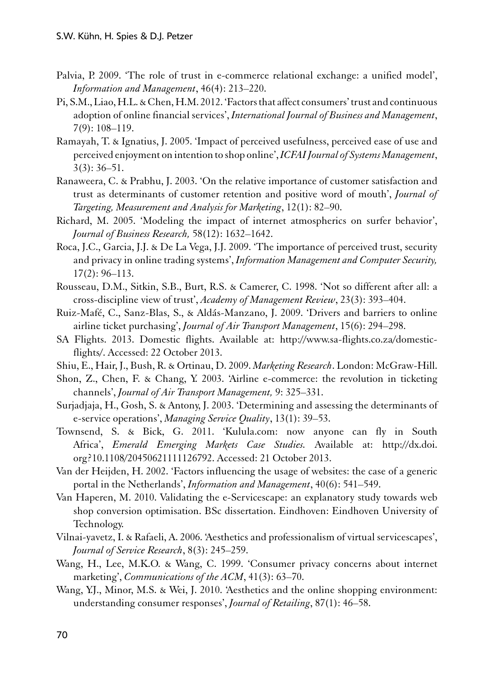- Palvia, P. 2009. 'The role of trust in e-commerce relational exchange: a unified model', *Information and Management*, 46(4): 213–220.
- Pi, S.M., Liao, H.L. & Chen, H.M. 2012. 'Factors that affect consumers' trust and continuous adoption of online financial services', *International Journal of Business and Management*, 7(9): 108–119.
- Ramayah, T. & Ignatius, J. 2005. 'Impact of perceived usefulness, perceived ease of use and perceived enjoyment on intention to shop online', *ICFAI Journal of Systems Management*, 3(3): 36–51.
- Ranaweera, C. & Prabhu, J. 2003. 'On the relative importance of customer satisfaction and trust as determinants of customer retention and positive word of mouth', *Journal of Targeting, Measurement and Analysis for Marketing*, 12(1): 82–90.
- Richard, M. 2005. 'Modeling the impact of internet atmospherics on surfer behavior', *Journal of Business Research,* 58(12): 1632–1642.
- Roca, J.C., Garcia, J.J. & De La Vega, J.J. 2009. 'The importance of perceived trust, security and privacy in online trading systems', *Information Management and Computer Security,*  17(2): 96–113.
- Rousseau, D.M., Sitkin, S.B., Burt, R.S. & Camerer, C. 1998. 'Not so different after all: a cross-discipline view of trust', *Academy of Management Review*, 23(3): 393–404.
- Ruiz-Mafé, C., Sanz-Blas, S., & Aldás-Manzano, J. 2009. 'Drivers and barriers to online airline ticket purchasing', *Journal of Air Transport Management*, 15(6): 294–298.
- SA Flights. 2013. Domestic flights. Available at: http://www.sa-flights.co.za/domesticflights/. Accessed: 22 October 2013.
- Shiu, E., Hair, J., Bush, R. & Ortinau, D. 2009. *Marketing Research*. London: McGraw-Hill.
- Shon, Z., Chen, F. & Chang, Y. 2003. 'Airline e-commerce: the revolution in ticketing channels', *Journal of Air Transport Management,* 9: 325–331.
- Surjadjaja, H., Gosh, S. & Antony, J. 2003. 'Determining and assessing the determinants of e-service operations', *Managing Service Quality*, 13(1): 39–53.
- Townsend, S. & Bick, G. 2011. 'Kulula.com: now anyone can fly in South Africa', *Emerald Emerging Markets Case Studies.* Available at: [http://dx.doi.](http://dx.doi.org?10.1108/20450621111126792) [org?10.1108/20450621111126792.](http://dx.doi.org?10.1108/20450621111126792) Accessed: 21 October 2013.
- Van der Heijden, H. 2002. 'Factors influencing the usage of websites: the case of a generic portal in the Netherlands', *Information and Management*, 40(6): 541–549.
- Van Haperen, M. 2010. Validating the e-Servicescape: an explanatory study towards web shop conversion optimisation. BSc dissertation. Eindhoven: Eindhoven University of Technology.
- Vilnai-yavetz, I. & Rafaeli, A. 2006. 'Aesthetics and professionalism of virtual servicescapes', *Journal of Service Research*, 8(3): 245–259.
- Wang, H., Lee, M.K.O. & Wang, C. 1999. 'Consumer privacy concerns about internet marketing', *Communications of the ACM*, 41(3): 63–70.
- Wang, Y.J., Minor, M.S. & Wei, J. 2010. 'Aesthetics and the online shopping environment: understanding consumer responses', *Journal of Retailing*, 87(1): 46–58.